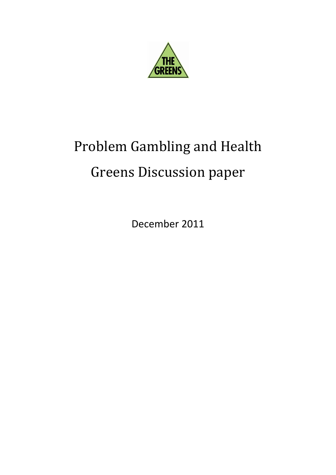

# Problem Gambling and Health Greens Discussion paper

December 2011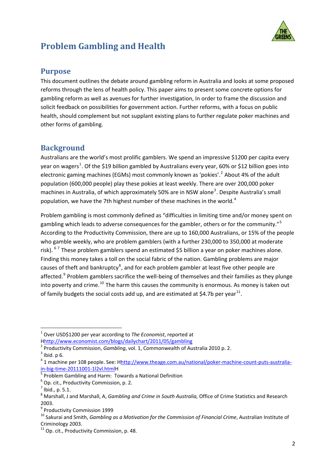

# <span id="page-1-0"></span>**Problem Gambling and Health**

## **Purpose**

This document outlines the debate around gambling reform in Australia and looks at some proposed reforms through the lens of health policy. This paper aims to present some concrete options for gambling reform as well as avenues for further investigation, In order to frame the discussion and solicit feedback on possibilities for government action. Further reforms, with a focus on public health, should complement but not supplant existing plans to further regulate poker machines and other forms of gambling.

## **Background**

Australians are the world's most prolific gamblers. We spend an impressive \$1200 per capita every year on wagers<sup>[1](#page-1-0)</sup>. Of the \$19 billion gambled by Australians every year, 60% or \$12 billion goes into electronic gaming machines (EGMs) most commonly known as 'pokies'.<sup>[2](#page-1-1)</sup> About 4% of the adult population (600,000 people) play these pokies at least weekly. There are over 200,000 poker machines in Australia, of which approximately 50% are in NSW alone<sup>[3](#page-1-2)</sup>. Despite Australia's small population, we have the 7th highest number of these machines in the world.<sup>[4](#page-1-3)</sup>

Problem gambling is most commonly defined as "difficulties in limiting time and/or money spent on gambling which leads to adverse consequences for the gambler, others or for the community."<sup>[5](#page-1-4)</sup> According to the Productivity Commission, there are up to 160,000 Australians, or 15% of the people who gamble weekly, who are problem gamblers (with a further 230,000 to 350,000 at moderate risk). <sup>[6](#page-1-5)[7](#page-1-6)</sup> These problem gamblers spend an estimated \$5 billion a year on poker machines alone. Finding this money takes a toll on the social fabric of the nation. Gambling problems are major causes of theft and bankruptcy<sup>[8](#page-1-7)</sup>, and for each problem gambler at least five other people are affected.<sup>[9](#page-1-8)</sup> Problem gamblers sacrifice the well-being of themselves and their families as they plunge into poverty and crime.<sup>[10](#page-1-9)</sup> The harm this causes the community is enormous. As money is taken out of family budgets the social costs add up, and are estimated at \$4.7b per year<sup>[11](#page-1-10)</sup>.

<sup>1</sup> Over USD\$1200 per year according to *The Economist*, reported at

<span id="page-1-1"></span>Hhttp://www.economist.com/blogs/dailychart/2011/05/gambling<br>
<sup>2</sup> Productivity Commission, *Gambling*, vol. 1, Commonwealth of Australia 2010 p. 2.<br>
<sup>3</sup> Ibid. p 6.<br>
<sup>4</sup> 1 machine per 108 people. See: Hhttp://www.theage.com.

<span id="page-1-2"></span>

<span id="page-1-3"></span>

<span id="page-1-4"></span>

<span id="page-1-5"></span>

<span id="page-1-7"></span><span id="page-1-6"></span>

 $\frac{\text{in-big-time-20111001-112vl.html}}{\text{5 Problem Gambling and Harm: Towards a National Definition}}$ <br>  $\frac{\text{6}}{\text{5}}$  Op. cit., Productivity Commission, p. 2.<br>  $\frac{\text{7}}{\text{5}}$  Ibid., p. 5.1.<br>  $\frac{\text{8}}{\text{Marshall, J and Marshall, A, Gambling and Crime in South Australia, Office of Crime Statistics and Research}$ 2003.<br><sup>9</sup> Productivity Commission 1999

<span id="page-1-8"></span>

<span id="page-1-9"></span><sup>&</sup>lt;sup>10</sup> Sakurai and Smith, *Gambling as a Motivation for the Commission of Financial Crime, Australian Institute of* Criminology 2003.<br><sup>11</sup> Op. cit., Productivity Commission, p. 48.

<span id="page-1-10"></span>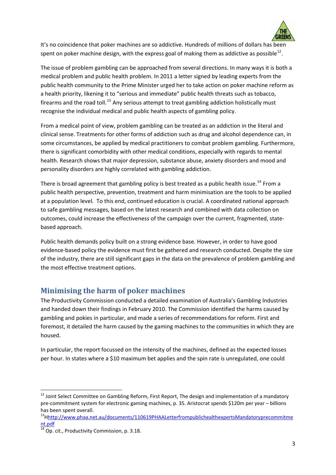

It's no coincidence that poker machines are so addictive. Hundreds of millions of dollars has been spent on poker machine design, with the express goal of making them as addictive as possible<sup>[12](#page-2-0)</sup>.

The issue of problem gambling can be approached from several directions. In many ways it is both a medical problem and public health problem. In 2011 a letter signed by leading experts from the public health community to the Prime Minister urged her to take action on poker machine reform as a health priority, likening it to "serious and immediate" public health threats such as tobacco, firearms and the road toll.<sup>[13](#page-2-1)</sup> Any serious attempt to treat gambling addiction holistically must recognise the individual medical and public health aspects of gambling policy.

From a medical point of view, problem gambling can be treated as an addiction in the literal and clinical sense. Treatments for other forms of addiction such as drug and alcohol dependence can, in some circumstances, be applied by medical practitioners to combat problem gambling. Furthermore, there is significant comorbidity with other medical conditions, especially with regards to mental health. Research shows that major depression, substance abuse, anxiety disorders and mood and personality disorders are highly correlated with gambling addiction.

There is broad agreement that gambling policy is best treated as a public health issue.<sup>[14](#page-2-2)</sup> From a public health perspective, prevention, treatment and harm minimisation are the tools to be applied at a population level. To this end, continued education is crucial. A coordinated national approach to safe gambling messages, based on the latest research and combined with data collection on outcomes, could increase the effectiveness of the campaign over the current, fragmented, state‐ based approach.

Public health demands policy built on a strong evidence base. However, in order to have good evidence‐based policy the evidence must first be gathered and research conducted. Despite the size of the industry, there are still significant gaps in the data on the prevalence of problem gambling and the most effective treatment options.

## **Minimising the harm of poker machines**

The Productivity Commission conducted a detailed examination of Australia's Gambling Industries and handed down their findings in February 2010. The Commission identified the harms caused by gambling and pokies in particular, and made a series of recommendations for reform. First and foremost, it detailed the harm caused by the gaming machines to the communities in which they are housed.

In particular, the report focussed on the intensity of the machines, defined as the expected losses per hour. In states where a \$10 maximum bet applies and the spin rate is unregulated, one could

<span id="page-2-0"></span> $^{12}$  Joint Select Committee on Gambling Reform, First Report, The design and implementation of a mandatory pre‐commitment system for electronic gaming machines, p. 35. Aristocrat spends \$120m per year – billions

<span id="page-2-1"></span>has been spent overall.<br><sup>13</sup>Hhttp://www.phaa.net.au/documents/110619PHAALetterfrompublichealthexpertsMandatoryprecommitme nt.pdf

<span id="page-2-2"></span> $\overline{14}$  Op. cit., Productivity Commission, p. 3.18.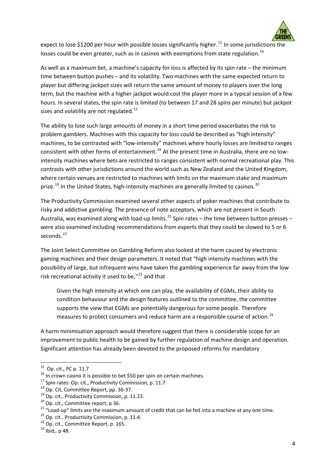

expect to lose \$1200 per hour with possible losses significantly higher.<sup>[15](#page-3-0)</sup> In some jurisdictions the losses could be even greater, such as in casinos with exemptions from state regulation.<sup>[16](#page-3-1)</sup>

As well as a maximum bet, a machine's capacity for loss is affected by its spin rate – the minimum time between button pushes – and its volatility. Two machines with the same expected return to player but differing jackpot sizes will return the same amount of money to players over the long term, but the machine with a higher jackpot would cost the player more in a typical session of a few hours. In several states, the spin rate is limited (to between 17 and 28 spins per minute) but jackpot sizes and volatility are not regulated.<sup>[17](#page-3-2)</sup>

The ability to lose such large amounts of money in a short time period exacerbates the risk to problem gamblers. Machines with this capacity for loss could be described as "high intensity" machines, to be contrasted with "low‐intensity" machines where hourly losses are limited to ranges consistent with other forms of entertainment.<sup>[18](#page-3-3)</sup> At the present time in Australia, there are no lowintensity machines where bets are restricted to ranges consistent with normal recreational play. This contrasts with other jurisdictions around the world such as New Zealand and the United Kingdom, where certain venues are restricted to machines with limits on the maximum stake and maximum prize.<sup>[19](#page-3-4)</sup> In the United States, high-intensity machines are generally limited to casinos.<sup>[20](#page-3-5)</sup>

The Productivity Commission examined several other aspects of poker machines that contribute to risky and addictive gambling. The presence of note acceptors, which are not present in South Australia, was examined along with load-up limits.<sup>[21](#page-3-6)</sup> Spin rates – the time between button presses – were also examined including recommendations from experts that they could be slowed to 5 or 6 seconds.<sup>[22](#page-3-7)</sup>

The Joint Select Committee on Gambling Reform also looked at the harm caused by electronic gaming machines and their design parameters. It noted that "high intensity machines with the possibility of large, but infrequent wins have taken the gambling experience far away from the low risk recreational activity it used to be,"<sup>[23](#page-3-8)</sup> and that

Given the high intensity at which one can play, the availability of EGMs, their ability to condition behaviour and the design features outlined to the committee, the committee supports the view that EGMs are potentially dangerous for some people. Therefore measures to protect consumers and reduce harm are a responsible course of action.<sup>[24](#page-3-9)</sup>

A harm minimisation approach would therefore suggest that there is considerable scope for an improvement to public health to be gained by further regulation of machine design and operation. Significant attention has already been devoted to the proposed reforms for mandatory

<span id="page-3-1"></span>

<span id="page-3-2"></span>

<span id="page-3-3"></span>

<span id="page-3-4"></span>

<span id="page-3-6"></span><span id="page-3-5"></span>

<span id="page-3-0"></span><sup>&</sup>lt;sup>15</sup> Op. cit., PC p. 11.7<br><sup>16</sup> In crown casino it is possible to bet \$50 per spin on certain machines.<br><sup>17</sup> Spin rates: Op. cit., Productivity Commission, p. 11.7<br><sup>18</sup> Op. Cit, Committee Report, pp. 36-37.<br><sup>19</sup> Op. cit.,

<span id="page-3-7"></span>

<span id="page-3-8"></span>

<span id="page-3-9"></span>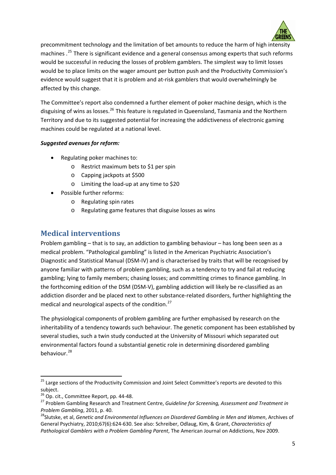

precommitment technology and the limitation of bet amounts to reduce the harm of high intensity machines.<sup>[25](#page-4-0)</sup> There is significant evidence and a general consensus among experts that such reforms would be successful in reducing the losses of problem gamblers. The simplest way to limit losses would be to place limits on the wager amount per button push and the Productivity Commission's evidence would suggest that it is problem and at-risk gamblers that would overwhelmingly be affected by this change.

The Committee's report also condemned a further element of poker machine design, which is the disguising of wins as losses.<sup>[26](#page-4-1)</sup> This feature is regulated in Queensland, Tasmania and the Northern Territory and due to its suggested potential for increasing the addictiveness of electronic gaming machines could be regulated at a national level.

#### *Suggested avenues for reform:*

- Regulating poker machines to:
	- o Restrict maximum bets to \$1 per spin
	- o Capping jackpots at \$500
	- o Limiting the load‐up at any time to \$20
- Possible further reforms:
	- o Regulating spin rates
	- o Regulating game features that disguise losses as wins

# **Medical interventions**

Problem gambling – that is to say, an addiction to gambling behaviour – has long been seen as a medical problem. "Pathological gambling" is listed in the American Psychiatric Association's Diagnostic and Statistical Manual (DSM‐IV) and is characterised by traits that will be recognised by anyone familiar with patterns of problem gambling, such as a tendency to try and fail at reducing gambling; lying to family members; chasing losses; and committing crimes to finance gambling. In the forthcoming edition of the DSM (DSM-V), gambling addiction will likely be re-classified as an addiction disorder and be placed next to other substance‐related disorders, further highlighting the medical and neurological aspects of the condition.<sup>[27](#page-4-2)</sup>

The physiological components of problem gambling are further emphasised by research on the inheritability of a tendency towards such behaviour. The genetic component has been established by several studies, such a twin study conducted at the University of Missouri which separated out environmental factors found a substantial genetic role in determining disordered gambling behaviour.[28](#page-4-3)

<span id="page-4-0"></span><sup>&</sup>lt;sup>25</sup> Large sections of the Productivity Commission and Joint Select Committee's reports are devoted to this subject.<br><sup>26</sup> Op. cit., Committee Report, pp. 44-48.

<span id="page-4-2"></span><span id="page-4-1"></span><sup>&</sup>lt;sup>27</sup> Problem Gambling Research and Treatment Centre, Guideline for Screening, Assessment and Treatment in Problem Gambling, 2011, p. 40.<br><sup>28</sup>Slutske, et al, Genetic and Environmental Influences on Disordered Gambling in Men and Women, Archives of

<span id="page-4-3"></span>General Psychiatry, 2010;67(6):624‐630. See also: Schreiber, Odlaug, Kim, & Grant, *Characteristics of Pathological Gamblers with a Problem Gambling Parent*, The American Journal on Addictions, Nov 2009.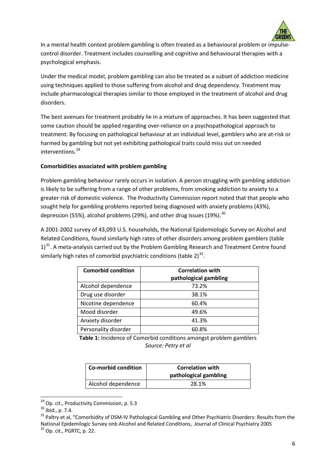

In a mental health context problem gambling is often treated as a behavioural problem or impulsecontrol disorder. Treatment includes counselling and cognitive and behavioural therapies with a psychological emphasis.

Under the medical model, problem gambling can also be treated as a subset of addiction medicine using techniques applied to those suffering from alcohol and drug dependency. Treatment may include pharmacological therapies similar to those employed in the treatment of alcohol and drug disorders.

The best avenues for treatment probably lie in a mixture of approaches. It has been suggested that some caution should be applied regarding over-reliance on a psychopathological approach to treatment. By focusing on pathological behaviour at an individual level, gamblers who are at‐risk or harmed by gambling but not yet exhibiting pathological traits could miss out on needed interventions.<sup>[29](#page-5-0)</sup>

#### **Comorbidities associated with problem gambling**

Problem gambling behaviour rarely occurs in isolation. A person struggling with gambling addiction is likely to be suffering from a range of other problems, from smoking addiction to anxiety to a greater risk of domestic violence. The Productivity Commission report noted that that people who sought help for gambling problems reported being diagnosed with anxiety problems (43%), depression (55%), alcohol problems (29%), and other drug issues (19%).  $30$ 

A 2001‐2002 survey of 43,093 U.S. households, the National Epidemiologic Survey on Alcohol and Related Conditions, found similarly high rates of other disorders among problem gamblers (table 1)<sup>[31](#page-5-2)</sup>. A meta-analysis carried out by the Problem Gambling Research and Treatment Centre found similarly high rates of comorbid psychiatric conditions (table  $2^{32}$  $2^{32}$  $2^{32}$ .

| <b>Comorbid condition</b> | <b>Correlation with</b><br>pathological gambling |
|---------------------------|--------------------------------------------------|
| Alcohol dependence        | 73.2%                                            |
| Drug use disorder         | 38.1%                                            |
| Nicotine dependence       | 60.4%                                            |
| Mood disorder             | 49.6%                                            |
| Anxiety disorder          | 41.3%                                            |
| Personality disorder      | 60.8%                                            |

**Table 1:** Incidence of Comorbid conditions amongst problem gamblers *Source: Petry et al*

| Co-morbid condition | <b>Correlation with</b><br>pathological gambling |
|---------------------|--------------------------------------------------|
| Alcohol dependence  | 28.1%                                            |

<span id="page-5-0"></span><sup>&</sup>lt;sup>29</sup> Op. cit., Productivity Commission, p. 5.3

<span id="page-5-2"></span><span id="page-5-1"></span><sup>&</sup>lt;sup>30</sup> Ibid., p. 7.4.<br><sup>31</sup> Paltry et al, "Comorbidity of DSM-IV Pathological Gambling and Other Psychiatric Disorders: Results from the National Epidemilogic Survey onb Alcohol and Related Conditions, Journal of Clinical Psychiatry 2005<br><sup>32</sup> Op. cit., PGRTC, p. 22.

<span id="page-5-3"></span>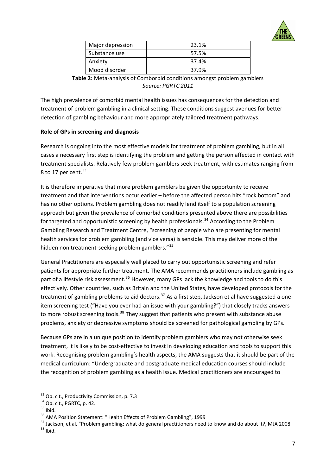

| Major depression | 23.1% |
|------------------|-------|
| Substance use    | 57.5% |
| Anxiety          | 37.4% |
| Mood disorder    | 37.9% |

**Table 2:** Meta-analysis of Comborbid conditions amongst problem gamblers *Source: PGRTC 2011*

The high prevalence of comorbid mental health issues has consequences for the detection and treatment of problem gambling in a clinical setting. These conditions suggest avenues for better detection of gambling behaviour and more appropriately tailored treatment pathways.

#### **Role of GPs in screening and diagnosis**

Research is ongoing into the most effective models for treatment of problem gambling, but in all cases a necessary first step is identifying the problem and getting the person affected in contact with treatment specialists. Relatively few problem gamblers seek treatment, with estimates ranging from 8 to 17 per cent.  $33$ 

It is therefore imperative that more problem gamblers be given the opportunity to receive treatment and that interventions occur earlier – before the affected person hits "rock bottom" and has no other options. Problem gambling does not readily lend itself to a population screening approach but given the prevalence of comorbid conditions presented above there are possibilities for targeted and opportunistic screening by health professionals.<sup>[34](#page-6-1)</sup> According to the Problem Gambling Research and Treatment Centre, "screening of people who are presenting for mental health services for problem gambling (and vice versa) is sensible. This may deliver more of the hidden non treatment-seeking problem gamblers."<sup>[35](#page-6-2)</sup>

General Practitioners are especially well placed to carry out opportunistic screening and refer patients for appropriate further treatment. The AMA recommends practitioners include gambling as part of a lifestyle risk assessment.<sup>[36](#page-6-3)</sup> However, many GPs lack the knowledge and tools to do this effectively. Other countries, such as Britain and the United States, have developed protocols for the treatment of gambling problems to aid doctors.<sup>[37](#page-6-4)</sup> As a first step, Jackson et al have suggested a oneitem screening test ("Have you ever had an issue with your gambling?") that closely tracks answers to more robust screening tools.<sup>[38](#page-6-5)</sup> They suggest that patients who present with substance abuse problems, anxiety or depressive symptoms should be screened for pathological gambling by GPs.

Because GPs are in a unique position to identify problem gamblers who may not otherwise seek treatment, it is likely to be cost‐effective to invest in developing education and tools to support this work. Recognising problem gambling's health aspects, the AMA suggests that it should be part of the medical curriculum: "Undergraduate and postgraduate medical education courses should include the recognition of problem gambling as a health issue. Medical practitioners are encouraged to

<sup>&</sup>lt;sup>33</sup> Op. cit., Productivity Commission, p. 7.3

<span id="page-6-2"></span>

<span id="page-6-5"></span><span id="page-6-4"></span><span id="page-6-3"></span>

<span id="page-6-1"></span><span id="page-6-0"></span><sup>&</sup>lt;sup>34</sup> Op. cit., PGRTC, p. 42.<br><sup>35</sup> Ibid.<br><sup>35</sup> AMA Position Statement: "Health Effects of Problem Gambling", 1999<br><sup>37</sup> Jackson, et al, "Problem gambling: what do general practitioners need to know and do about it?, MJA 2008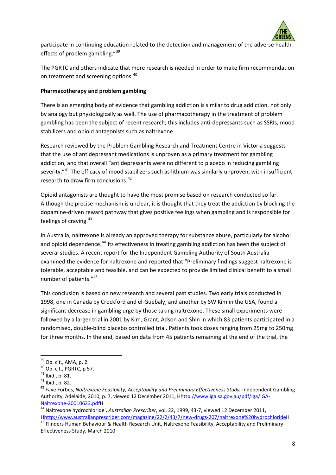

participate in continuing education related to the detection and management of the adverse health effects of problem gambling."<sup>[39](#page-7-0)</sup>

The PGRTC and others indicate that more research is needed in order to make firm recommendation on treatment and screening options.<sup>[40](#page-7-1)</sup>

#### **Pharmacotherapy and problem gambling**

There is an emerging body of evidence that gambling addiction is similar to drug addiction, not only by analogy but physiologically as well. The use of pharmacotherapy in the treatment of problem gambling has been the subject of recent research; this includes anti‐depressants such as SSRIs, mood stabilizers and opioid antagonists such as naltrexone.

Research reviewed by the Problem Gambling Research and Treatment Centre in Victoria suggests that the use of antidepressant medications is unproven as a primary treatment for gambling addiction, and that overall "antidepressants were no different to placebo in reducing gambling severity."<sup>[41](#page-7-2)</sup> The efficacy of mood stabilizers such as lithium was similarly unproven, with insufficient research to draw firm conclusions.<sup>[42](#page-7-3)</sup>

Opioid antagonists are thought to have the most promise based on research conducted so far. Although the precise mechanism is unclear, it is thought that they treat the addiction by blocking the dopamine‐driven reward pathway that gives positive feelings when gambling and is responsible for feelings of craving.<sup>[43](#page-7-4)</sup>

In Australia, naltrexone is already an approved therapy for substance abuse, particularly for alcohol and opioid dependence.<sup>[44](#page-7-5)</sup> Its effectiveness in treating gambling addiction has been the subject of several studies. A recent report for the Independent Gambling Authority of South Australia examined the evidence for naltrexone and reported that "Preliminary findings suggest naltrexone is tolerable, acceptable and feasible, and can be expected to provide limited clinical benefit to a small number of patients."[45](#page-7-6)

This conclusion is based on new research and several past studies. Two early trials conducted in 1998, one in Canada by Crockford and el‐Guebaly, and another by SW Kim in the USA, found a significant decrease in gambling urge by those taking naltrexone. These small experiments were followed by a larger trial in 2001 by Kim, Grant, Adson and Shin in which 83 patients participated in a randomised, double‐blind placebo controlled trial. Patients took doses ranging from 25mg to 250mg for three months. In the end, based on data from 45 patients remaining at the end of the trial, the

<span id="page-7-6"></span><span id="page-7-5"></span>Hhttp://www.australianprescriber.com/magazine/22/2/43/7/new-drugs-207/naltrexone%20hydrochlorideH<br><sup>45</sup> Flinders Human Behaviour & Health Research Unit, Naltrexone Feasibility, Acceptability and Preliminary Effectiveness Study, March 2010

<span id="page-7-2"></span>

<span id="page-7-4"></span><span id="page-7-3"></span>

<span id="page-7-1"></span><span id="page-7-0"></span><sup>&</sup>lt;sup>39</sup> Op. cit., AMA, p. 2.<br><sup>40</sup> Op. cit., PGRTC, p 57.<br><sup>41</sup> Ibid., p. 81.<br><sup>42</sup> Ibid., p. 82.<br><sup>43</sup> Fave Forbes, *Naltrexone Feasibility, Acceptability and Preliminary Effectiveness Study, Independent Gambling* Authority, Adelaide, 2010, p. 7, viewed 12 December 2011, Hhttp://www.iga.sa.gov.au/pdf/iga/IGA‐ Naltrexone‐20010623.pdfH 44'Naltrexone hydrochloride', *Australian Prescriber*, vol. 22, 1999, <sup>43</sup>‐7, viewed <sup>12</sup> December 2011,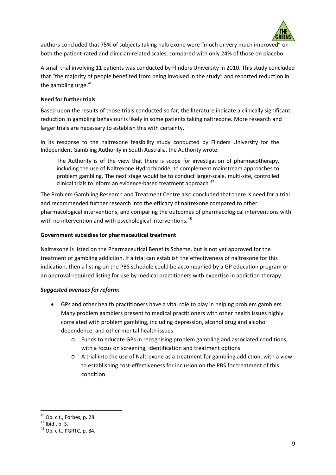

authors concluded that 75% of subjects taking naltrexone were "much or very much improved" on both the patient-rated and clinician-related scales, compared with only 24% of those on placebo.

A small trial involving 11 patients was conducted by Flinders University in 2010. This study concluded that "the majority of people benefited from being involved in the study" and reported reduction in the gambling urge.  $46$ 

#### **Need for further trials**

Based upon the results of those trials conducted so far, the literature indicate a clinically significant reduction in gambling behaviour is likely in some patients taking naltrexone. More research and larger trials are necessary to establish this with certainty.

In its response to the naltrexone feasibility study conducted by Flinders University for the Independent Gambling Authority in South Australia, the Authority wrote:

The Authority is of the view that there is scope for investigation of pharmacotherapy, including the use of Naltrexone Hydrochloride, to complement mainstream approaches to problem gambling. The next stage would be to conduct larger‐scale, multi‐site, controlled clinical trials to inform an evidence-based treatment approach.<sup>[47](#page-8-1)</sup>

The Problem Gambling Research and Treatment Centre also concluded that there is need for a trial and recommended further research into the efficacy of naltrexone compared to other pharmacological interventions, and comparing the outcomes of pharmacological interventions with with no intervention and with psychological interventions.<sup>[48](#page-8-2)</sup>

#### **Government subsidies for pharmaceutical treatment**

Naltrexone is listed on the Pharmaceutical Benefits Scheme, but is not yet approved for the treatment of gambling addiction. If a trial can establish the effectiveness of naltrexone for this indication, then a listing on the PBS schedule could be accompanied by a GP education program or an approval‐required listing for use by medical practitioners with expertise in addiction therapy.

#### *Suggested avenues for reform:*

- GPs and other health practitioners have a vital role to play in helping problem gamblers. Many problem gamblers present to medical practitioners with other health issues highly correlated with problem gambling, including depression, alcohol drug and alcohol dependence, and other mental health issues
	- o Funds to educate GPs in recognising problem gambling and associated conditions, with a focus on screening, identification and treatment options.
	- o A trial into the use of Naltrexone as a treatment for gambling addiction, with a view to establishing cost‐effectiveness for inclusion on the PBS for treatment of this condition.

<span id="page-8-0"></span><sup>&</sup>lt;sup>46</sup> Op. cit., Forbes, p. 28.<br><sup>47</sup> Ibid., p. 3.<br><sup>48</sup> Op. cit., PGRTC, p. 84.

<span id="page-8-1"></span>

<span id="page-8-2"></span>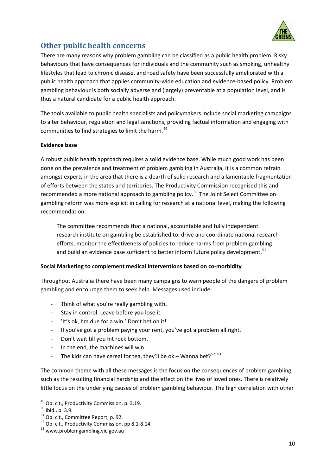

# **Other public health concerns**

There are many reasons why problem gambling can be classified as a public health problem. Risky behaviours that have consequences for individuals and the community such as smoking, unhealthy lifestyles that lead to chronic disease, and road safety have been successfully ameliorated with a public health approach that applies community‐wide education and evidence‐based policy. Problem gambling behaviour is both socially adverse and (largely) preventable at a population level, and is thus a natural candidate for a public health approach.

The tools available to public health specialists and policymakers include social marketing campaigns to alter behaviour, regulation and legal sanctions, providing factual information and engaging with communities to find strategies to limit the harm.<sup>[49](#page-9-0)</sup>

#### **Evidence base**

A robust public health approach requires a solid evidence base. While much good work has been done on the prevalence and treatment of problem gambling in Australia, it is a common refrain amongst experts in the area that there is a dearth of solid research and a lamentable fragmentation of efforts between the states and territories. The Productivity Commission recognised this and recommended a more national approach to gambling policy.<sup>[50](#page-9-1)</sup> The Joint Select Committee on gambling reform was more explicit in calling for research at a national level, making the following recommendation:

The committee recommends that a national, accountable and fully independent research institute on gambling be established to: drive and coordinate national research efforts, monitor the effectiveness of policies to reduce harms from problem gambling and build an evidence base sufficient to better inform future policy development.<sup>[51](#page-9-2)</sup>

#### **Social Marketing to complement medical interventions based on co‐morbidity**

Throughout Australia there have been many campaigns to warn people of the dangers of problem gambling and encourage them to seek help. Messages used include:

- Think of what you're really gambling with.
- ‐ Stay in control. Leave before you lose it.
- ‐ 'It's ok, I'm due for a win.' Don't bet on it!
- ‐ If you've got a problem paying your rent, you've got a problem all right.
- ‐ Don't wait till you hit rock bottom.
- In the end, the machines will win.
- The kids can have cereal for tea, they'll be ok Wanna bet?<sup>[52](#page-9-3) [53](#page-9-4)</sup>

The common theme with all these messages is the focus on the consequences of problem gambling, such as the resulting financial hardship and the effect on the lives of loved ones. There is relatively little focus on the underlying causes of problem gambling behaviour. The high correlation with other

<span id="page-9-0"></span><sup>&</sup>lt;sup>49</sup> Op. cit., Productivity Commission, p. 3.19.

<span id="page-9-2"></span>

<span id="page-9-1"></span><sup>&</sup>lt;sup>50</sup> Ibid., p. 3.9.<br><sup>51</sup> Op. cit., Committee Report, p. 92.<br><sup>52</sup> Op. cit., Productivity Commission, pp 8.1-8.14.<br><sup>53</sup> www.problemgambling.vic.gov.au

<span id="page-9-4"></span><span id="page-9-3"></span>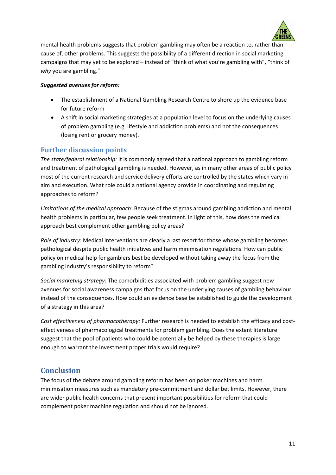

mental health problems suggests that problem gambling may often be a reaction to, rather than cause of, other problems. This suggests the possibility of a different direction in social marketing campaigns that may yet to be explored – instead of "think of what you're gambling with", "think of *why* you are gambling."

#### *Suggested avenues for reform:*

- The establishment of a National Gambling Research Centre to shore up the evidence base for future reform
- A shift in social marketing strategies at a population level to focus on the underlying causes of problem gambling (e.g. lifestyle and addiction problems) and not the consequences (losing rent or grocery money).

### **Further discussion points**

*The state/federal relationship:* It is commonly agreed that a national approach to gambling reform and treatment of pathological gambling is needed. However, as in many other areas of public policy most of the current research and service delivery efforts are controlled by the states which vary in aim and execution. What role could a national agency provide in coordinating and regulating approaches to reform?

*Limitations of the medical approach*: Because of the stigmas around gambling addiction and mental health problems in particular, few people seek treatment. In light of this, how does the medical approach best complement other gambling policy areas?

*Role of industry*: Medical interventions are clearly a last resort for those whose gambling becomes pathological despite public health initiatives and harm minimisation regulations. How can public policy on medical help for gamblers best be developed without taking away the focus from the gambling industry's responsibility to reform?

*Social marketing strategy:* The comorbidities associated with problem gambling suggest new avenues for social awareness campaigns that focus on the underlying causes of gambling behaviour instead of the consequences. How could an evidence base be established to guide the development of a strategy in this area?

*Cost effectiveness of pharmacotherapy:* Further research is needed to establish the efficacy and cost‐ effectiveness of pharmacological treatments for problem gambling. Does the extant literature suggest that the pool of patients who could be potentially be helped by these therapies is large enough to warrant the investment proper trials would require?

## **Conclusion**

The focus of the debate around gambling reform has been on poker machines and harm minimisation measures such as mandatory pre-commitment and dollar bet limits. However, there are wider public health concerns that present important possibilities for reform that could complement poker machine regulation and should not be ignored.